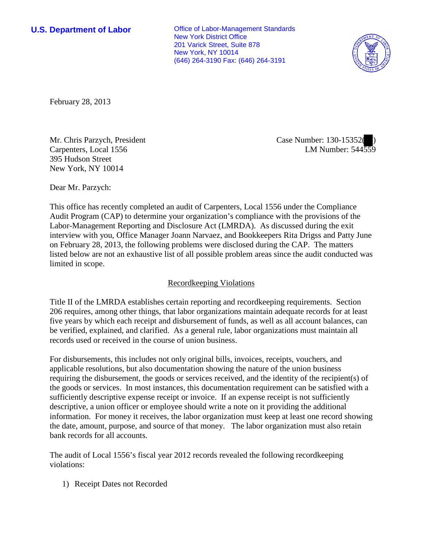**U.S. Department of Labor Office of Labor-Management Standards** New York District Office 201 Varick Street, Suite 878 New York, NY 10014 (646) 264-3190 Fax: (646) 264-3191



February 28, 2013

Mr. Chris Parzych, President Carpenters, Local 1556 395 Hudson Street New York, NY 10014

Case Number: 130-15352( ) LM Number: 544559

Dear Mr. Parzych:

This office has recently completed an audit of Carpenters, Local 1556 under the Compliance Audit Program (CAP) to determine your organization's compliance with the provisions of the Labor-Management Reporting and Disclosure Act (LMRDA). As discussed during the exit interview with you, Office Manager Joann Narvaez, and Bookkeepers Rita Drigss and Patty June on February 28, 2013, the following problems were disclosed during the CAP. The matters listed below are not an exhaustive list of all possible problem areas since the audit conducted was limited in scope.

## Recordkeeping Violations

Title II of the LMRDA establishes certain reporting and recordkeeping requirements. Section 206 requires, among other things, that labor organizations maintain adequate records for at least five years by which each receipt and disbursement of funds, as well as all account balances, can be verified, explained, and clarified. As a general rule, labor organizations must maintain all records used or received in the course of union business.

For disbursements, this includes not only original bills, invoices, receipts, vouchers, and applicable resolutions, but also documentation showing the nature of the union business requiring the disbursement, the goods or services received, and the identity of the recipient(s) of the goods or services. In most instances, this documentation requirement can be satisfied with a sufficiently descriptive expense receipt or invoice. If an expense receipt is not sufficiently descriptive, a union officer or employee should write a note on it providing the additional information. For money it receives, the labor organization must keep at least one record showing the date, amount, purpose, and source of that money. The labor organization must also retain bank records for all accounts.

The audit of Local 1556's fiscal year 2012 records revealed the following recordkeeping violations:

1) Receipt Dates not Recorded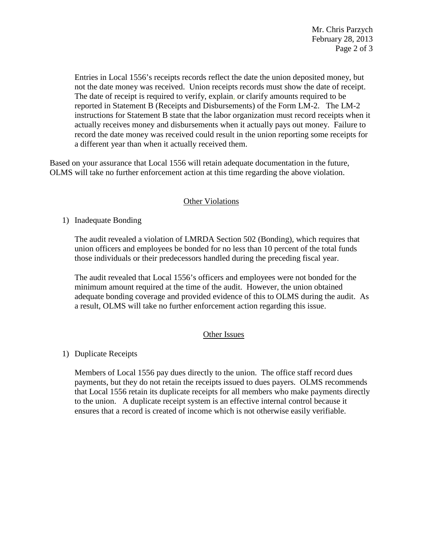Entries in Local 1556's receipts records reflect the date the union deposited money, but not the date money was received. Union receipts records must show the date of receipt. The date of receipt is required to verify, explain, or clarify amounts required to be reported in Statement B (Receipts and Disbursements) of the Form LM-2. The LM-2 instructions for Statement B state that the labor organization must record receipts when it actually receives money and disbursements when it actually pays out money. Failure to record the date money was received could result in the union reporting some receipts for a different year than when it actually received them.

Based on your assurance that Local 1556 will retain adequate documentation in the future, OLMS will take no further enforcement action at this time regarding the above violation.

## **Other Violations**

1) Inadequate Bonding

The audit revealed a violation of LMRDA Section 502 (Bonding), which requires that union officers and employees be bonded for no less than 10 percent of the total funds those individuals or their predecessors handled during the preceding fiscal year.

The audit revealed that Local 1556's officers and employees were not bonded for the minimum amount required at the time of the audit. However, the union obtained adequate bonding coverage and provided evidence of this to OLMS during the audit. As a result, OLMS will take no further enforcement action regarding this issue.

## Other Issues

## 1) Duplicate Receipts

Members of Local 1556 pay dues directly to the union. The office staff record dues payments, but they do not retain the receipts issued to dues payers. OLMS recommends that Local 1556 retain its duplicate receipts for all members who make payments directly to the union. A duplicate receipt system is an effective internal control because it ensures that a record is created of income which is not otherwise easily verifiable.